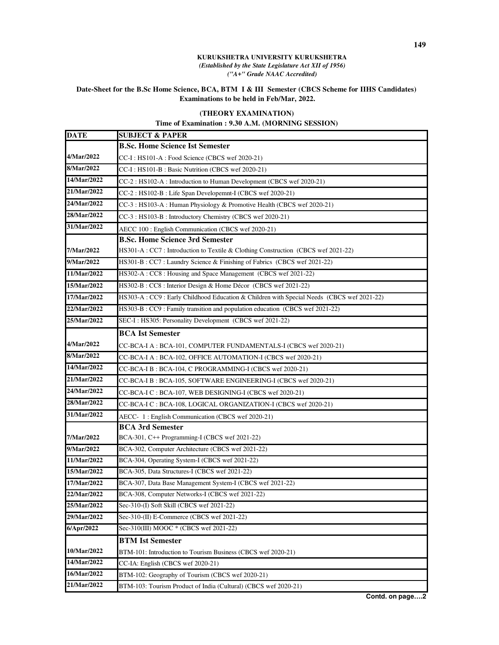## **KURUKSHETRA UNIVERSITY KURUKSHETRA**  *(Established by the State Legislature Act XII of 1956) ("A+" Grade NAAC Accredited)*

## **Date-Sheet for the B.Sc Home Science, BCA, BTM I & III Semester (CBCS Scheme for IIHS Candidates) Examinations to be held in Feb/Mar, 2022.**

## **(THEORY EXAMINATION)**

## **Time of Examination : 9.30 A.M. (MORNING SESSION)**

| DATE        | <b>SUBJECT &amp; PAPER</b>                                                                 |
|-------------|--------------------------------------------------------------------------------------------|
|             | <b>B.Sc. Home Science Ist Semester</b>                                                     |
| 4/Mar/2022  | CC-I: HS101-A: Food Science (CBCS wef 2020-21)                                             |
| 8/Mar/2022  | CC-I: HS101-B: Basic Nutrition (CBCS wef 2020-21)                                          |
| 14/Mar/2022 | CC-2 : HS102-A : Introduction to Human Development (CBCS wef 2020-21)                      |
| 21/Mar/2022 | CC-2 : HS102-B : Life Span Developemnt-I (CBCS wef 2020-21)                                |
| 24/Mar/2022 | CC-3 : HS103-A : Human Physiology & Promotive Health (CBCS wef 2020-21)                    |
| 28/Mar/2022 | CC-3 : HS103-B : Introductory Chemistry (CBCS wef 2020-21)                                 |
| 31/Mar/2022 | AECC 100 : English Communication (CBCS wef 2020-21)                                        |
|             | <b>B.Sc. Home Science 3rd Semester</b>                                                     |
| 7/Mar/2022  | HS301-A : CC7 : Introduction to Textile & Clothing Construction (CBCS wef 2021-22)         |
| 9/Mar/2022  | HS301-B: CC7: Laundry Science & Finishing of Fabrics (CBCS wef 2021-22)                    |
| 11/Mar/2022 | HS302-A: CC8: Housing and Space Management (CBCS wef 2021-22)                              |
| 15/Mar/2022 | HS302-B: CC8: Interior Design & Home Décor (CBCS wef 2021-22)                              |
| 17/Mar/2022 | HS303-A : CC9 : Early Childhood Education & Children with Special Needs (CBCS wef 2021-22) |
| 22/Mar/2022 | HS303-B : CC9 : Family transition and population education (CBCS wef 2021-22)              |
| 25/Mar/2022 | SEC-I: HS305: Personality Development (CBCS wef 2021-22)                                   |
|             | <b>BCA Ist Semester</b>                                                                    |
| 4/Mar/2022  | CC-BCA-I A : BCA-101, COMPUTER FUNDAMENTALS-I (CBCS wef 2020-21)                           |
| 8/Mar/2022  | CC-BCA-I A : BCA-102, OFFICE AUTOMATION-I (CBCS wef 2020-21)                               |
| 14/Mar/2022 | CC-BCA-I B : BCA-104, C PROGRAMMING-I (CBCS wef 2020-21)                                   |
| 21/Mar/2022 | CC-BCA-I B: BCA-105, SOFTWARE ENGINEERING-I (CBCS wef 2020-21)                             |
| 24/Mar/2022 | CC-BCA-I C : BCA-107, WEB DESIGNING-I (CBCS wef 2020-21)                                   |
| 28/Mar/2022 | CC-BCA-I C : BCA-108, LOGICAL ORGANIZATION-I (CBCS wef 2020-21)                            |
| 31/Mar/2022 | AECC- 1: English Communication (CBCS wef 2020-21)                                          |
|             | <b>BCA 3rd Semester</b>                                                                    |
| 7/Mar/2022  | BCA-301, C++ Programming-I (CBCS wef 2021-22)                                              |
| 9/Mar/2022  | BCA-302, Computer Architecture (CBCS wef 2021-22)                                          |
| 11/Mar/2022 | BCA-304, Operating System-I (CBCS wef 2021-22)                                             |
| 15/Mar/2022 | BCA-305, Data Structures-I (CBCS wef 2021-22)                                              |
| 17/Mar/2022 | BCA-307, Data Base Management System-I (CBCS wef 2021-22)                                  |
| 22/Mar/2022 | BCA-308, Computer Networks-I (CBCS wef 2021-22)                                            |
| 25/Mar/2022 | Sec-310-(I) Soft Skill (CBCS wef 2021-22)                                                  |
| 29/Mar/2022 | Sec-310-(II) E-Commerce (CBCS wef 2021-22)                                                 |
| 6/Apr/2022  | Sec-310(III) MOOC * (CBCS wef 2021-22)                                                     |
|             | <b>BTM Ist Semester</b>                                                                    |
| 10/Mar/2022 | BTM-101: Introduction to Tourism Business (CBCS wef 2020-21)                               |
| 14/Mar/2022 | CC-IA: English (CBCS wef 2020-21)                                                          |
| 16/Mar/2022 | BTM-102: Geography of Tourism (CBCS wef 2020-21)                                           |
| 21/Mar/2022 | BTM-103: Tourism Product of India (Cultural) (CBCS wef 2020-21)                            |

**Contd. on page….2**